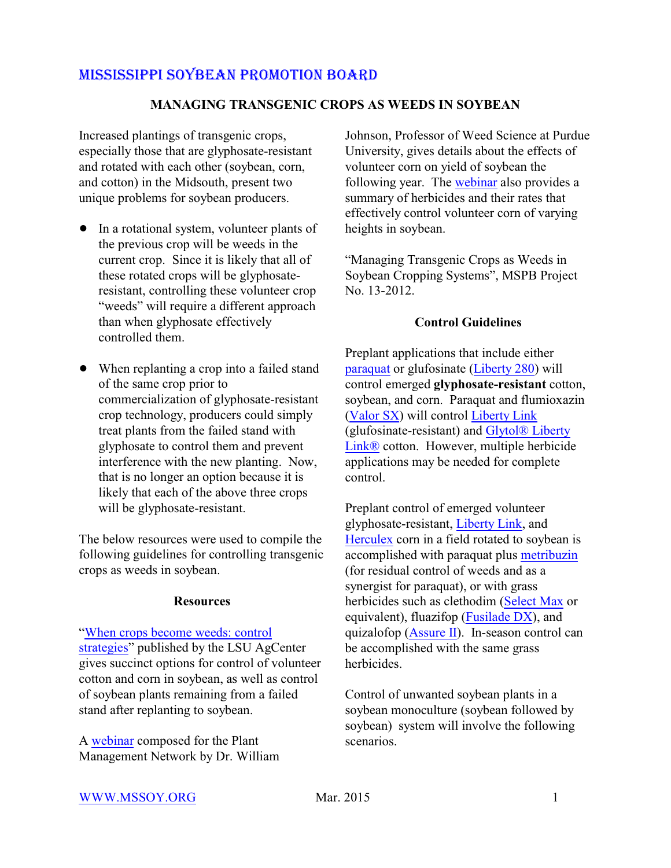## MISSISSIPPI SOYBEAN PROMOTION BOARD

### **MANAGING TRANSGENIC CROPS AS WEEDS IN SOYBEAN**

Increased plantings of transgenic crops, especially those that are glyphosate-resistant and rotated with each other (soybean, corn, and cotton) in the Midsouth, present two unique problems for soybean producers.

- In a rotational system, volunteer plants of the previous crop will be weeds in the current crop. Since it is likely that all of these rotated crops will be glyphosateresistant, controlling these volunteer crop "weeds" will require a different approach than when glyphosate effectively controlled them.
- When replanting a crop into a failed stand of the same crop prior to commercialization of glyphosate-resistant crop technology, producers could simply treat plants from the failed stand with glyphosate to control them and prevent interference with the new planting. Now, that is no longer an option because it is likely that each of the above three crops will be glyphosate-resistant.

The below resources were used to compile the following guidelines for controlling transgenic crops as weeds in soybean.

#### **Resources**

["When crops become weeds: control](http://www.lsuagcenter.com/en/communications/publications/agmag/Archive/2004/Summer/When+Crops+Become+Weeds+Control+Strategies.htm) [strategies](http://www.lsuagcenter.com/en/communications/publications/agmag/Archive/2004/Summer/When+Crops+Become+Weeds+Control+Strategies.htm)" published by the LSU AgCenter gives succinct options for control of volunteer cotton and corn in soybean, as well as control of soybean plants remaining from a failed stand after replanting to soybean.

A [webinar](http://www.plantmanagementnetwork.org/edcenter/seminars/VolunteerCorn/player.html) composed for the Plant Management Network by Dr. William Johnson, Professor of Weed Science at Purdue University, gives details about the effects of volunteer corn on yield of soybean the following year. The [webinar](http://www.plantmanagementnetwork.org/edcenter/seminars/VolunteerCorn/player.html) also provides a summary of herbicides and their rates that effectively control volunteer corn of varying heights in soybean.

"Managing Transgenic Crops as Weeds in Soybean Cropping Systems", MSPB Project No. 13-2012.

#### **Control Guidelines**

Preplant applications that include either [paraquat](http://www.cdms.net/LDat/ld77A041.pdf) or glufosinate [\(Liberty 280](http://www.cdms.net/LDat/ldUA5004.pdf)) will control emerged **glyphosate-resistant** cotton, soybean, and corn. Paraquat and flumioxazin [\(Valor SX](http://www.cdms.net/LDat/ld3LL041.pdf)) will control [Liberty Link](https://www.bayercropscience.us/products/traits/libertylink) (glufosinate-resistant) and [Glytol® Liberty](https://www.bayercropscience.us/~/media/Bayer%20CropScience/Country-United-States-Internet/Documents/Products/Traits/Glytol/GlyTol%20LibertyLink%20Product%20Bulletin.ashx) [Link®](https://www.bayercropscience.us/~/media/Bayer%20CropScience/Country-United-States-Internet/Documents/Products/Traits/Glytol/GlyTol%20LibertyLink%20Product%20Bulletin.ashx) cotton. However, multiple herbicide applications may be needed for complete control.

Preplant control of emerged volunteer glyphosate-resistant, [Liberty Link](https://www.bayercropscience.us/products/traits/libertylink), and [Herculex](http://www.dowagro.com/herculex/tolerance/) corn in a field rotated to soybean is accomplished with paraquat plus [metribuzin](http://www.cdms.net/LDat/ld86D003.pdf) (for residual control of weeds and as a synergist for paraquat), or with grass herbicides such as clethodim [\(Select Max](http://www.cdms.net/LDat/ld6SQ009.pdf) or equivalent), fluazifop [\(Fusilade DX](http://www.cdms.net/LDat/ld5UU008.pdf)), and quizalofop [\(Assure II](http://www.cdms.net/LDat/ld742006.pdf)). In-season control can be accomplished with the same grass herbicides.

Control of unwanted soybean plants in a soybean monoculture (soybean followed by soybean) system will involve the following scenarios.